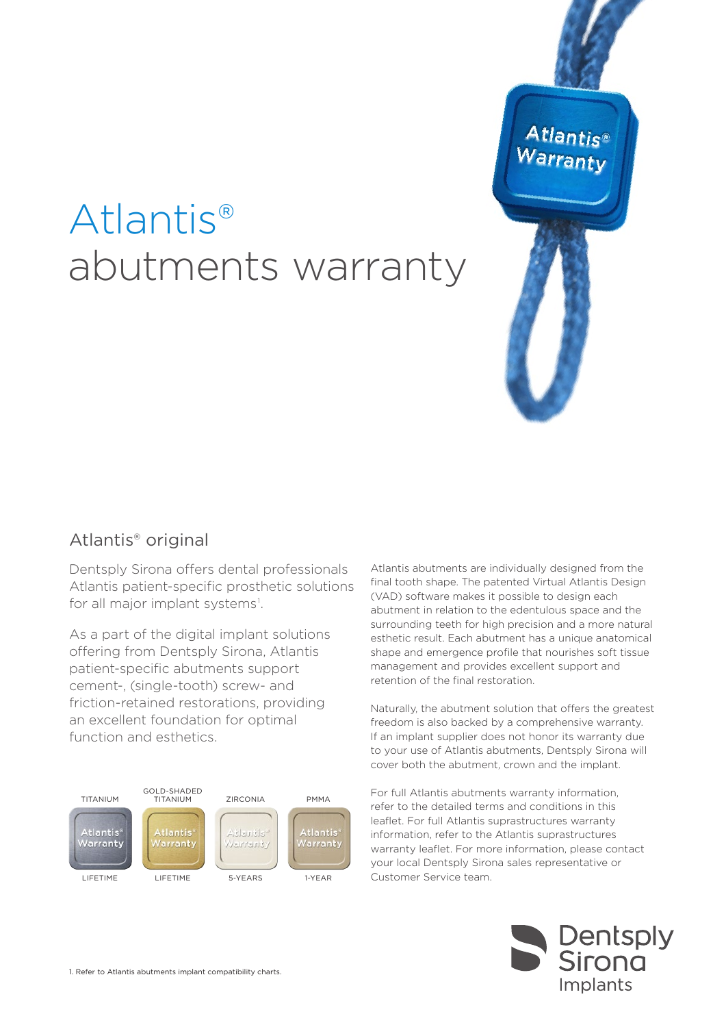# Atlantis® abutments warranty



## Atlantis® original

Dentsply Sirona offers dental professionals Atlantis patient-specific prosthetic solutions for all major implant systems<sup>1</sup>.

As a part of the digital implant solutions offering from Dentsply Sirona, Atlantis patient-specific abutments support cement-, (single-tooth) screw- and friction-retained restorations, providing an excellent foundation for optimal function and esthetics.



Atlantis abutments are individually designed from the final tooth shape. The patented Virtual Atlantis Design (VAD) software makes it possible to design each abutment in relation to the edentulous space and the surrounding teeth for high precision and a more natural esthetic result. Each abutment has a unique anatomical shape and emergence profile that nourishes soft tissue management and provides excellent support and retention of the final restoration.

Naturally, the abutment solution that offers the greatest freedom is also backed by a comprehensive warranty. If an implant supplier does not honor its warranty due to your use of Atlantis abutments, Dentsply Sirona will cover both the abutment, crown and the implant.

For full Atlantis abutments warranty information, refer to the detailed terms and conditions in this leaflet. For full Atlantis suprastructures warranty information, refer to the Atlantis suprastructures warranty leaflet. For more information, please contact your local Dentsply Sirona sales representative or